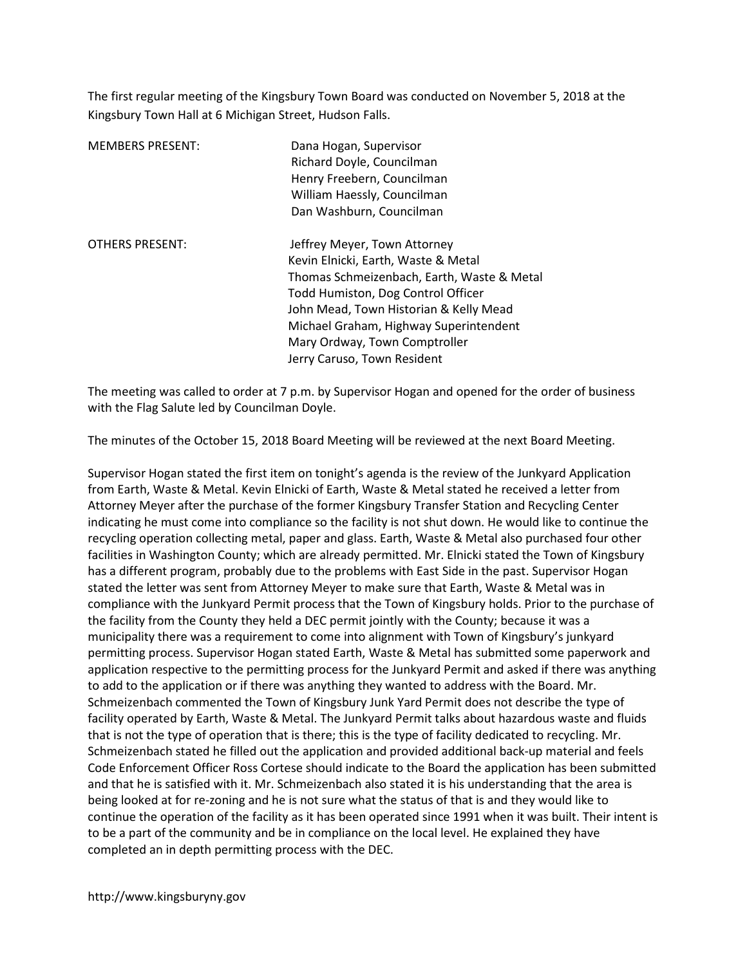The first regular meeting of the Kingsbury Town Board was conducted on November 5, 2018 at the Kingsbury Town Hall at 6 Michigan Street, Hudson Falls.

| <b>MEMBERS PRESENT:</b> | Dana Hogan, Supervisor<br>Richard Doyle, Councilman<br>Henry Freebern, Councilman<br>William Haessly, Councilman<br>Dan Washburn, Councilman                                                                                                                                                                |
|-------------------------|-------------------------------------------------------------------------------------------------------------------------------------------------------------------------------------------------------------------------------------------------------------------------------------------------------------|
| <b>OTHERS PRESENT:</b>  | Jeffrey Meyer, Town Attorney<br>Kevin Elnicki, Earth, Waste & Metal<br>Thomas Schmeizenbach, Earth, Waste & Metal<br>Todd Humiston, Dog Control Officer<br>John Mead, Town Historian & Kelly Mead<br>Michael Graham, Highway Superintendent<br>Mary Ordway, Town Comptroller<br>Jerry Caruso, Town Resident |

The meeting was called to order at 7 p.m. by Supervisor Hogan and opened for the order of business with the Flag Salute led by Councilman Doyle.

The minutes of the October 15, 2018 Board Meeting will be reviewed at the next Board Meeting.

Supervisor Hogan stated the first item on tonight's agenda is the review of the Junkyard Application from Earth, Waste & Metal. Kevin Elnicki of Earth, Waste & Metal stated he received a letter from Attorney Meyer after the purchase of the former Kingsbury Transfer Station and Recycling Center indicating he must come into compliance so the facility is not shut down. He would like to continue the recycling operation collecting metal, paper and glass. Earth, Waste & Metal also purchased four other facilities in Washington County; which are already permitted. Mr. Elnicki stated the Town of Kingsbury has a different program, probably due to the problems with East Side in the past. Supervisor Hogan stated the letter was sent from Attorney Meyer to make sure that Earth, Waste & Metal was in compliance with the Junkyard Permit process that the Town of Kingsbury holds. Prior to the purchase of the facility from the County they held a DEC permit jointly with the County; because it was a municipality there was a requirement to come into alignment with Town of Kingsbury's junkyard permitting process. Supervisor Hogan stated Earth, Waste & Metal has submitted some paperwork and application respective to the permitting process for the Junkyard Permit and asked if there was anything to add to the application or if there was anything they wanted to address with the Board. Mr. Schmeizenbach commented the Town of Kingsbury Junk Yard Permit does not describe the type of facility operated by Earth, Waste & Metal. The Junkyard Permit talks about hazardous waste and fluids that is not the type of operation that is there; this is the type of facility dedicated to recycling. Mr. Schmeizenbach stated he filled out the application and provided additional back-up material and feels Code Enforcement Officer Ross Cortese should indicate to the Board the application has been submitted and that he is satisfied with it. Mr. Schmeizenbach also stated it is his understanding that the area is being looked at for re-zoning and he is not sure what the status of that is and they would like to continue the operation of the facility as it has been operated since 1991 when it was built. Their intent is to be a part of the community and be in compliance on the local level. He explained they have completed an in depth permitting process with the DEC.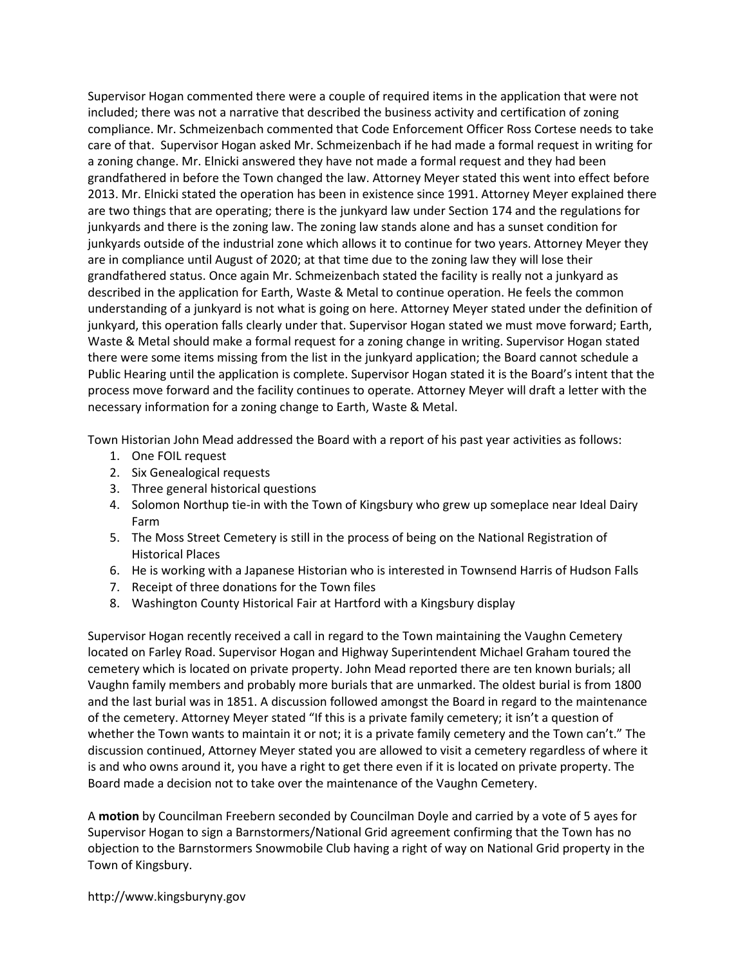Supervisor Hogan commented there were a couple of required items in the application that were not included; there was not a narrative that described the business activity and certification of zoning compliance. Mr. Schmeizenbach commented that Code Enforcement Officer Ross Cortese needs to take care of that. Supervisor Hogan asked Mr. Schmeizenbach if he had made a formal request in writing for a zoning change. Mr. Elnicki answered they have not made a formal request and they had been grandfathered in before the Town changed the law. Attorney Meyer stated this went into effect before 2013. Mr. Elnicki stated the operation has been in existence since 1991. Attorney Meyer explained there are two things that are operating; there is the junkyard law under Section 174 and the regulations for junkyards and there is the zoning law. The zoning law stands alone and has a sunset condition for junkyards outside of the industrial zone which allows it to continue for two years. Attorney Meyer they are in compliance until August of 2020; at that time due to the zoning law they will lose their grandfathered status. Once again Mr. Schmeizenbach stated the facility is really not a junkyard as described in the application for Earth, Waste & Metal to continue operation. He feels the common understanding of a junkyard is not what is going on here. Attorney Meyer stated under the definition of junkyard, this operation falls clearly under that. Supervisor Hogan stated we must move forward; Earth, Waste & Metal should make a formal request for a zoning change in writing. Supervisor Hogan stated there were some items missing from the list in the junkyard application; the Board cannot schedule a Public Hearing until the application is complete. Supervisor Hogan stated it is the Board's intent that the process move forward and the facility continues to operate. Attorney Meyer will draft a letter with the necessary information for a zoning change to Earth, Waste & Metal.

Town Historian John Mead addressed the Board with a report of his past year activities as follows:

- 1. One FOIL request
- 2. Six Genealogical requests
- 3. Three general historical questions
- 4. Solomon Northup tie-in with the Town of Kingsbury who grew up someplace near Ideal Dairy Farm
- 5. The Moss Street Cemetery is still in the process of being on the National Registration of Historical Places
- 6. He is working with a Japanese Historian who is interested in Townsend Harris of Hudson Falls
- 7. Receipt of three donations for the Town files
- 8. Washington County Historical Fair at Hartford with a Kingsbury display

Supervisor Hogan recently received a call in regard to the Town maintaining the Vaughn Cemetery located on Farley Road. Supervisor Hogan and Highway Superintendent Michael Graham toured the cemetery which is located on private property. John Mead reported there are ten known burials; all Vaughn family members and probably more burials that are unmarked. The oldest burial is from 1800 and the last burial was in 1851. A discussion followed amongst the Board in regard to the maintenance of the cemetery. Attorney Meyer stated "If this is a private family cemetery; it isn't a question of whether the Town wants to maintain it or not; it is a private family cemetery and the Town can't." The discussion continued, Attorney Meyer stated you are allowed to visit a cemetery regardless of where it is and who owns around it, you have a right to get there even if it is located on private property. The Board made a decision not to take over the maintenance of the Vaughn Cemetery.

A motion by Councilman Freebern seconded by Councilman Doyle and carried by a vote of 5 ayes for Supervisor Hogan to sign a Barnstormers/National Grid agreement confirming that the Town has no objection to the Barnstormers Snowmobile Club having a right of way on National Grid property in the Town of Kingsbury.

http://www.kingsburyny.gov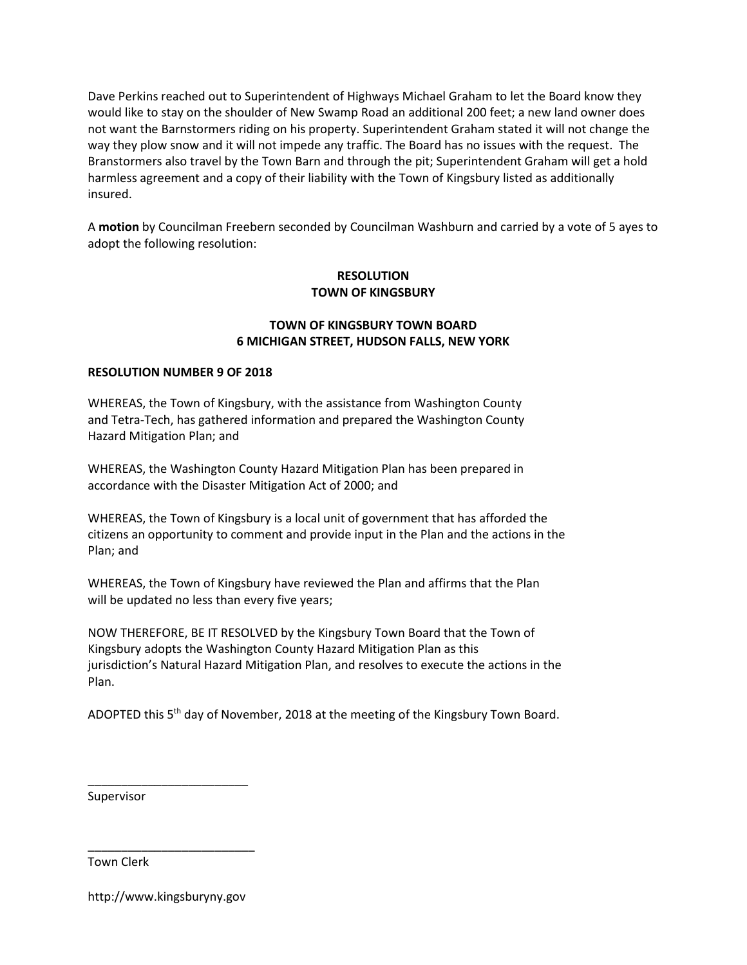Dave Perkins reached out to Superintendent of Highways Michael Graham to let the Board know they would like to stay on the shoulder of New Swamp Road an additional 200 feet; a new land owner does not want the Barnstormers riding on his property. Superintendent Graham stated it will not change the way they plow snow and it will not impede any traffic. The Board has no issues with the request. The Branstormers also travel by the Town Barn and through the pit; Superintendent Graham will get a hold harmless agreement and a copy of their liability with the Town of Kingsbury listed as additionally insured.

A motion by Councilman Freebern seconded by Councilman Washburn and carried by a vote of 5 ayes to adopt the following resolution:

## RESOLUTION TOWN OF KINGSBURY

## TOWN OF KINGSBURY TOWN BOARD 6 MICHIGAN STREET, HUDSON FALLS, NEW YORK

#### RESOLUTION NUMBER 9 OF 2018

WHEREAS, the Town of Kingsbury, with the assistance from Washington County and Tetra-Tech, has gathered information and prepared the Washington County Hazard Mitigation Plan; and

WHEREAS, the Washington County Hazard Mitigation Plan has been prepared in accordance with the Disaster Mitigation Act of 2000; and

WHEREAS, the Town of Kingsbury is a local unit of government that has afforded the citizens an opportunity to comment and provide input in the Plan and the actions in the Plan; and

WHEREAS, the Town of Kingsbury have reviewed the Plan and affirms that the Plan will be updated no less than every five years;

NOW THEREFORE, BE IT RESOLVED by the Kingsbury Town Board that the Town of Kingsbury adopts the Washington County Hazard Mitigation Plan as this jurisdiction's Natural Hazard Mitigation Plan, and resolves to execute the actions in the Plan.

ADOPTED this  $5<sup>th</sup>$  day of November, 2018 at the meeting of the Kingsbury Town Board.

Supervisor

Town Clerk

http://www.kingsburyny.gov

\_\_\_\_\_\_\_\_\_\_\_\_\_\_\_\_\_\_\_\_\_\_\_\_\_

\_\_\_\_\_\_\_\_\_\_\_\_\_\_\_\_\_\_\_\_\_\_\_\_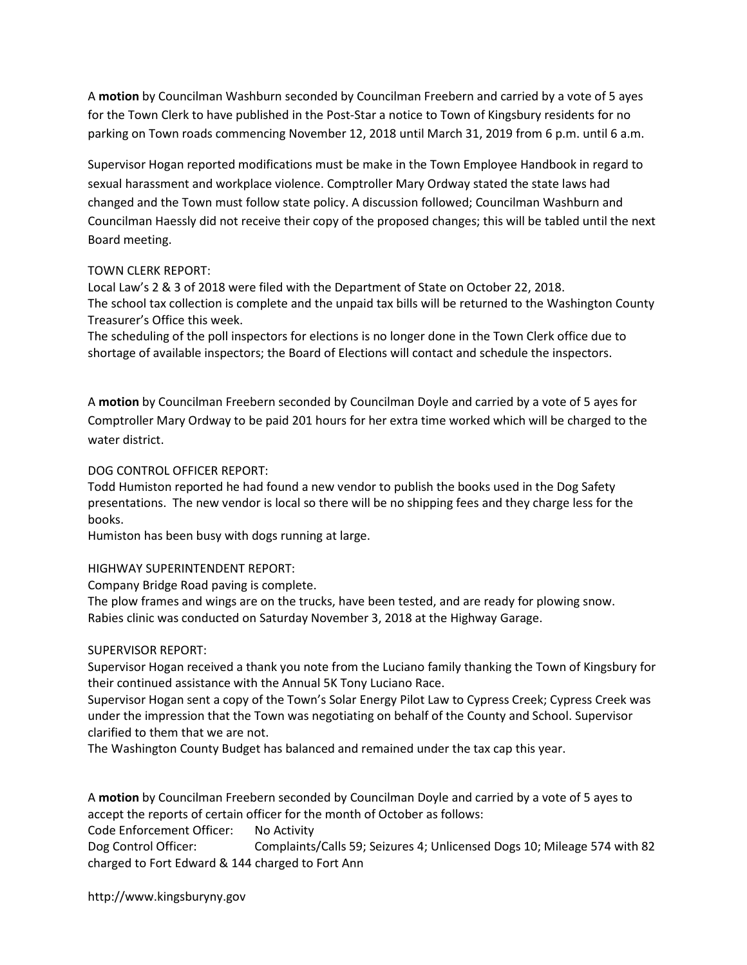A motion by Councilman Washburn seconded by Councilman Freebern and carried by a vote of 5 ayes for the Town Clerk to have published in the Post-Star a notice to Town of Kingsbury residents for no parking on Town roads commencing November 12, 2018 until March 31, 2019 from 6 p.m. until 6 a.m.

Supervisor Hogan reported modifications must be make in the Town Employee Handbook in regard to sexual harassment and workplace violence. Comptroller Mary Ordway stated the state laws had changed and the Town must follow state policy. A discussion followed; Councilman Washburn and Councilman Haessly did not receive their copy of the proposed changes; this will be tabled until the next Board meeting.

### TOWN CLERK REPORT:

Local Law's 2 & 3 of 2018 were filed with the Department of State on October 22, 2018. The school tax collection is complete and the unpaid tax bills will be returned to the Washington County Treasurer's Office this week.

The scheduling of the poll inspectors for elections is no longer done in the Town Clerk office due to shortage of available inspectors; the Board of Elections will contact and schedule the inspectors.

A motion by Councilman Freebern seconded by Councilman Doyle and carried by a vote of 5 ayes for Comptroller Mary Ordway to be paid 201 hours for her extra time worked which will be charged to the water district.

## DOG CONTROL OFFICER REPORT:

Todd Humiston reported he had found a new vendor to publish the books used in the Dog Safety presentations. The new vendor is local so there will be no shipping fees and they charge less for the books.

Humiston has been busy with dogs running at large.

### HIGHWAY SUPERINTENDENT REPORT:

Company Bridge Road paving is complete.

The plow frames and wings are on the trucks, have been tested, and are ready for plowing snow. Rabies clinic was conducted on Saturday November 3, 2018 at the Highway Garage.

# SUPERVISOR REPORT:

Supervisor Hogan received a thank you note from the Luciano family thanking the Town of Kingsbury for their continued assistance with the Annual 5K Tony Luciano Race.

Supervisor Hogan sent a copy of the Town's Solar Energy Pilot Law to Cypress Creek; Cypress Creek was under the impression that the Town was negotiating on behalf of the County and School. Supervisor clarified to them that we are not.

The Washington County Budget has balanced and remained under the tax cap this year.

A motion by Councilman Freebern seconded by Councilman Doyle and carried by a vote of 5 ayes to accept the reports of certain officer for the month of October as follows:

Code Enforcement Officer: No Activity

Dog Control Officer: Complaints/Calls 59; Seizures 4; Unlicensed Dogs 10; Mileage 574 with 82 charged to Fort Edward & 144 charged to Fort Ann

http://www.kingsburyny.gov